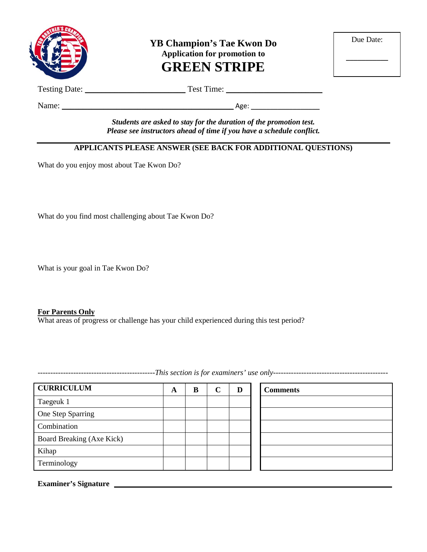

**YB Champion's Tae Kwon Do Application for promotion to GREEN STRIPE**

| Due Date: |  |
|-----------|--|
|           |  |
|           |  |

Testing Date: \_\_\_\_\_\_\_\_\_\_\_\_\_\_\_\_\_\_\_\_\_\_\_\_ Test Time: \_\_\_\_\_\_\_\_\_\_\_\_\_\_\_\_\_\_\_\_\_\_\_

Name: \_\_\_\_\_\_\_\_\_\_\_\_\_\_\_\_\_\_\_\_\_\_\_\_\_\_\_\_\_\_\_\_\_\_\_\_\_\_\_\_\_ Age: \_\_\_\_\_\_\_\_\_\_\_\_\_\_\_\_\_\_

*Students are asked to stay for the duration of the promotion test. Please see instructors ahead of time if you have a schedule conflict.*

## **APPLICANTS PLEASE ANSWER (SEE BACK FOR ADDITIONAL QUESTIONS)**

What do you enjoy most about Tae Kwon Do?

What do you find most challenging about Tae Kwon Do?

What is your goal in Tae Kwon Do?

#### **For Parents Only**

What areas of progress or challenge has your child experienced during this test period?

**CURRICULUM A B C D Comments** Taegeuk 1 One Step Sparring Combination Board Breaking (Axe Kick) Kihap Terminology

**Examiner's Signature**

----------------------------------------------*This section is for examiners' use only---------------------------------------------*